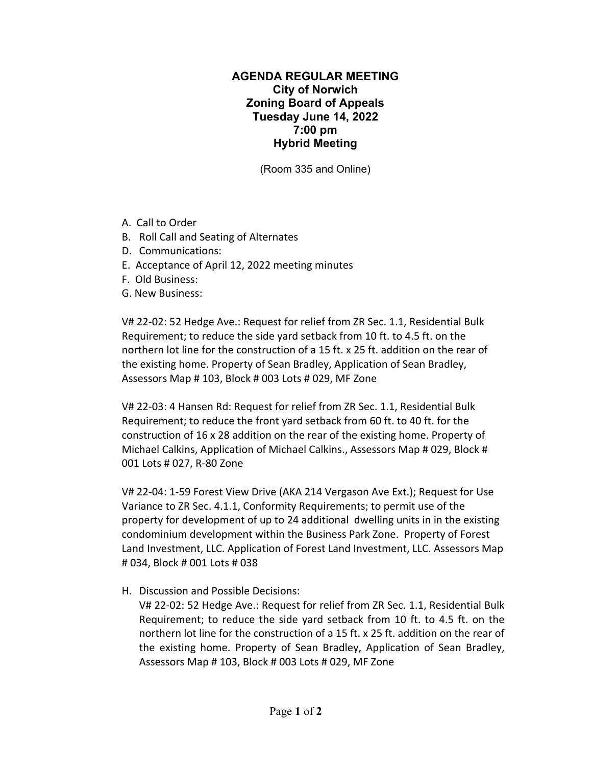## **AGENDA REGULAR MEETING City of Norwich Zoning Board of Appeals Tuesday June 14, 2022 7:00 pm Hybrid Meeting**

(Room 335 and Online)

- A. Call to Order
- B. Roll Call and Seating of Alternates
- D. Communications:
- E. Acceptance of April 12, 2022 meeting minutes
- F. Old Business:
- G. New Business:

V# 22‐02: 52 Hedge Ave.: Request for relief from ZR Sec. 1.1, Residential Bulk Requirement; to reduce the side yard setback from 10 ft. to 4.5 ft. on the northern lot line for the construction of a 15 ft. x 25 ft. addition on the rear of the existing home. Property of Sean Bradley, Application of Sean Bradley, Assessors Map # 103, Block # 003 Lots # 029, MF Zone

V# 22‐03: 4 Hansen Rd: Request for relief from ZR Sec. 1.1, Residential Bulk Requirement; to reduce the front yard setback from 60 ft. to 40 ft. for the construction of 16 x 28 addition on the rear of the existing home. Property of Michael Calkins, Application of Michael Calkins., Assessors Map # 029, Block # 001 Lots # 027, R‐80 Zone

V# 22‐04: 1‐59 Forest View Drive (AKA 214 Vergason Ave Ext.); Request for Use Variance to ZR Sec. 4.1.1, Conformity Requirements; to permit use of the property for development of up to 24 additional dwelling units in in the existing condominium development within the Business Park Zone. Property of Forest Land Investment, LLC. Application of Forest Land Investment, LLC. Assessors Map # 034, Block # 001 Lots # 038

H. Discussion and Possible Decisions:

V# 22‐02: 52 Hedge Ave.: Request for relief from ZR Sec. 1.1, Residential Bulk Requirement; to reduce the side yard setback from 10 ft. to 4.5 ft. on the northern lot line for the construction of a 15 ft. x 25 ft. addition on the rear of the existing home. Property of Sean Bradley, Application of Sean Bradley, Assessors Map # 103, Block # 003 Lots # 029, MF Zone